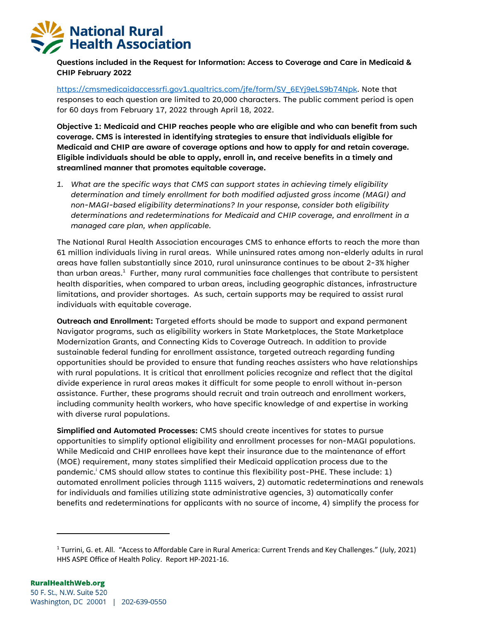

**Questions included in the Request for Information: Access to Coverage and Care in Medicaid & CHIP February 2022**

https://cmsmedicaidaccessrfi.gov1.qualtrics.com/jfe/form/SV\_6EYj9eLS9b74Npk. Note that responses to each question are limited to 20,000 characters. The public comment period is open for 60 days from February 17, 2022 through April 18, 2022.

**Objective 1: Medicaid and CHIP reaches people who are eligible and who can benefit from such coverage. CMS is interested in identifying strategies to ensure that individuals eligible for Medicaid and CHIP are aware of coverage options and how to apply for and retain coverage. Eligible individuals should be able to apply, enroll in, and receive benefits in a timely and streamlined manner that promotes equitable coverage.** 

*1. What are the specific ways that CMS can support states in achieving timely eligibility determination and timely enrollment for both modified adjusted gross income (MAGI) and non-MAGI-based eligibility determinations? In your response, consider both eligibility determinations and redeterminations for Medicaid and CHIP coverage, and enrollment in a managed care plan, when applicable.* 

The National Rural Health Association encourages CMS to enhance efforts to reach the more than 61 million individuals living in rural areas. While uninsured rates among non-elderly adults in rural areas have fallen substantially since 2010, rural uninsurance continues to be about 2-3% higher than urban areas. $^1$  Further, many rural communities face challenges that contribute to persistent health disparities, when compared to urban areas, including geographic distances, infrastructure limitations, and provider shortages. As such, certain supports may be required to assist rural individuals with equitable coverage.

**Outreach and Enrollment:** Targeted efforts should be made to support and expand permanent Navigator programs, such as eligibility workers in State Marketplaces, the State Marketplace Modernization Grants, and Connecting Kids to Coverage Outreach. In addition to provide sustainable federal funding for enrollment assistance, targeted outreach regarding funding opportunities should be provided to ensure that funding reaches assisters who have relationships with rural populations. It is critical that enrollment policies recognize and reflect that the digital divide experience in rural areas makes it difficult for some people to enroll without in-person assistance. Further, these programs should recruit and train outreach and enrollment workers, including community health workers, who have specific knowledge of and expertise in working with diverse rural populations.

**Simplified and Automated Processes:** CMS should create incentives for states to pursue opportunities to simplify optional eligibility and enrollment processes for non-MAGI populations. While Medicaid and CHIP enrollees have kept their insurance due to the maintenance of effort (MOE) requirement, many states simplified their Medicaid application process due to the pandemic.<sup>i</sup> CMS should allow states to continue this flexibility post-PHE. These include: 1) automated enrollment policies through 1115 waivers, 2) automatic redeterminations and renewals for individuals and families utilizing state administrative agencies, 3) automatically confer benefits and redeterminations for applicants with no source of income, 4) simplify the process for

<sup>1</sup> Turrini, G. et. All. "Access to Affordable Care in Rural America: Current Trends and Key Challenges." (July, 2021) HHS ASPE Office of Health Policy. Report HP-2021-16.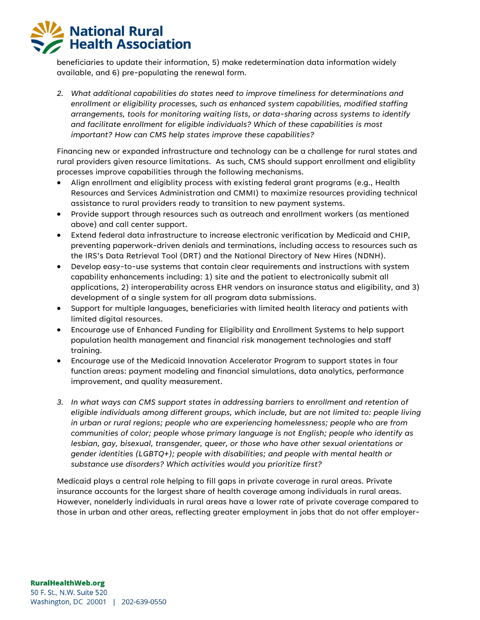beneficiaries to update their information, 5) make redetermination data information widely available, and 6) pre-populating the renewal form.

*2. What additional capabilities do states need to improve timeliness for determinations and enrollment or eligibility processes, such as enhanced system capabilities, modified staffing arrangements, tools for monitoring waiting lists, or data-sharing across systems to identify and facilitate enrollment for eligible individuals? Which of these capabilities is most important? How can CMS help states improve these capabilities?* 

Financing new or expanded infrastructure and technology can be a challenge for rural states and rural providers given resource limitations. As such, CMS should support enrollment and eligiblity processes improve capabilities through the following mechanisms.

- Align enrollment and eligiblity process with existing federal grant programs (e.g., Health Resources and Services Administration and CMMI) to maximize resources providing technical assistance to rural providers ready to transition to new payment systems.
- Provide support through resources such as outreach and enrollment workers (as mentioned above) and call center support.
- Extend federal data infrastructure to increase electronic verification by Medicaid and CHIP, preventing paperwork-driven denials and terminations, including access to resources such as the IRS's Data Retrieval Tool (DRT) and the National Directory of New Hires (NDNH).
- Develop easy-to-use systems that contain clear requirements and instructions with system capability enhancements including: 1) site and the patient to electronically submit all applications, 2) interoperability across EHR vendors on insurance status and eligibility, and 3) development of a single system for all program data submissions.
- Support for multiple languages, beneficiaries with limited health literacy and patients with limited digital resources.
- Encourage use of Enhanced Funding for Eligibility and Enrollment Systems to help support population health management and financial risk management technologies and staff training.
- Encourage use of the Medicaid Innovation Accelerator Program to support states in four function areas: payment modeling and financial simulations, data analytics, performance improvement, and quality measurement.
- *3. In what ways can CMS support states in addressing barriers to enrollment and retention of eligible individuals among different groups, which include, but are not limited to: people living in urban or rural regions; people who are experiencing homelessness; people who are from communities of color; people whose primary language is not English; people who identify as lesbian, gay, bisexual, transgender, queer, or those who have other sexual orientations or gender identities (LGBTQ+); people with disabilities; and people with mental health or substance use disorders? Which activities would you prioritize first?*

Medicaid plays a central role helping to fill gaps in private coverage in rural areas. Private insurance accounts for the largest share of health coverage among individuals in rural areas. However, nonelderly individuals in rural areas have a lower rate of private coverage compared to those in urban and other areas, reflecting greater employment in jobs that do not offer employer-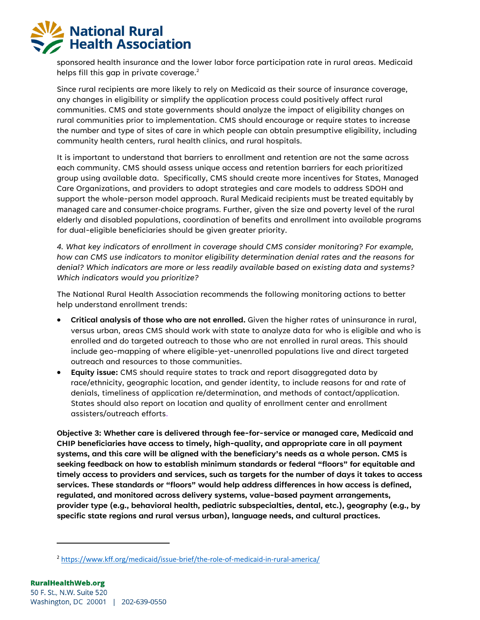

sponsored health insurance and the lower labor force participation rate in rural areas. Medicaid helps fill this gap in private coverage. $^2$ 

Since rural recipients are more likely to rely on Medicaid as their source of insurance coverage, any changes in eligibility or simplify the application process could positively affect rural communities. CMS and state governments should analyze the impact of eligibility changes on rural communities prior to implementation. CMS should encourage or require states to increase the number and type of sites of care in which people can obtain presumptive eligibility, including community health centers, rural health clinics, and rural hospitals.

It is important to understand that barriers to enrollment and retention are not the same across each community. CMS should assess unique access and retention barriers for each prioritized group using available data. Specifically, CMS should create more incentives for States, Managed Care Organizations, and providers to adopt strategies and care models to address SDOH and support the whole-person model approach. Rural Medicaid recipients must be treated equitably by managed care and consumer-choice programs. Further, given the size and poverty level of the rural elderly and disabled populations, coordination of benefits and enrollment into available programs for dual-eligible beneficiaries should be given greater priority.

*4. What key indicators of enrollment in coverage should CMS consider monitoring? For example, how can CMS use indicators to monitor eligibility determination denial rates and the reasons for denial? Which indicators are more or less readily available based on existing data and systems? Which indicators would you prioritize?*

The National Rural Health Association recommends the following monitoring actions to better help understand enrollment trends:

- **Critical analysis of those who are not enrolled.** Given the higher rates of uninsurance in rural, versus urban, areas CMS should work with state to analyze data for who is eligible and who is enrolled and do targeted outreach to those who are not enrolled in rural areas. This should include geo-mapping of where eligible-yet-unenrolled populations live and direct targeted outreach and resources to those communities.
- **Equity issue:** CMS should require states to track and report disaggregated data by race/ethnicity, geographic location, and gender identity, to include reasons for and rate of denials, timeliness of application re/determination, and methods of contact/application. States should also report on location and quality of enrollment center and enrollment assisters/outreach efforts.

**Objective 3: Whether care is delivered through fee-for-service or managed care, Medicaid and CHIP beneficiaries have access to timely, high-quality, and appropriate care in all payment systems, and this care will be aligned with the beneficiary's needs as a whole person. CMS is seeking feedback on how to establish minimum standards or federal "floors" for equitable and timely access to providers and services, such as targets for the number of days it takes to access services. These standards or "floors" would help address differences in how access is defined, regulated, and monitored across delivery systems, value-based payment arrangements, provider type (e.g., behavioral health, pediatric subspecialties, dental, etc.), geography (e.g., by specific state regions and rural versus urban), language needs, and cultural practices.** 

<sup>2</sup> https://www.kff.org/medicaid/issue-brief/the-role-of-medicaid-in-rural-america/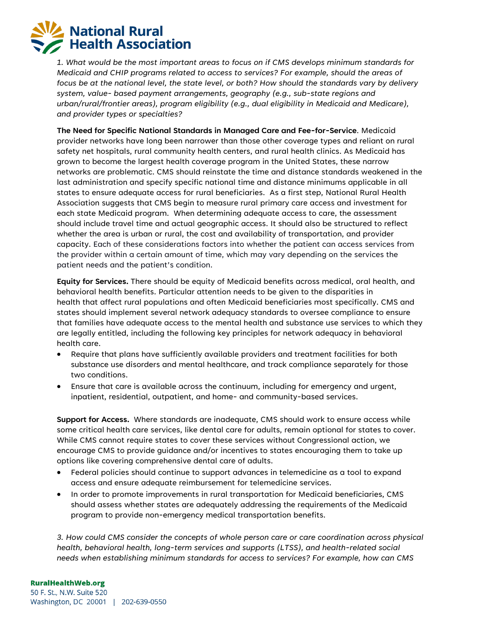*1. What would be the most important areas to focus on if CMS develops minimum standards for Medicaid and CHIP programs related to access to services? For example, should the areas of focus be at the national level, the state level, or both? How should the standards vary by delivery system, value- based payment arrangements, geography (e.g., sub-state regions and urban/rural/frontier areas), program eligibility (e.g., dual eligibility in Medicaid and Medicare), and provider types or specialties?*

**The Need for Specific National Standards in Managed Care and Fee-for-Service**. Medicaid provider networks have long been narrower than those other coverage types and reliant on rural safety net hospitals, rural community health centers, and rural health clinics. As Medicaid has grown to become the largest health coverage program in the United States, these narrow networks are problematic. CMS should reinstate the time and distance standards weakened in the last administration and specify specific national time and distance minimums applicable in all states to ensure adequate access for rural beneficiaries. As a first step, National Rural Health Association suggests that CMS begin to measure rural primary care access and investment for each state Medicaid program. When determining adequate access to care, the assessment should include travel time and actual geographic access. It should also be structured to reflect whether the area is urban or rural, the cost and availability of transportation, and provider capacity. Each of these considerations factors into whether the patient can access services from the provider within a certain amount of time, which may vary depending on the services the patient needs and the patient's condition.

**Equity for Services.** There should be equity of Medicaid benefits across medical, oral health, and behavioral health benefits. Particular attention needs to be given to the disparities in health that affect rural populations and often Medicaid beneficiaries most specifically. CMS and states should implement several network adequacy standards to oversee compliance to ensure that families have adequate access to the mental health and substance use services to which they are legally entitled, including the following key principles for network adequacy in behavioral health care.

- Require that plans have sufficiently available providers and treatment facilities for both substance use disorders and mental healthcare, and track compliance separately for those two conditions.
- Ensure that care is available across the continuum, including for emergency and urgent, inpatient, residential, outpatient, and home- and community-based services.

**Support for Access.** Where standards are inadequate, CMS should work to ensure access while some critical health care services, like dental care for adults, remain optional for states to cover. While CMS cannot require states to cover these services without Congressional action, we encourage CMS to provide guidance and/or incentives to states encouraging them to take up options like covering comprehensive dental care of adults.

- Federal policies should continue to support advances in telemedicine as a tool to expand access and ensure adequate reimbursement for telemedicine services.
- In order to promote improvements in rural transportation for Medicaid beneficiaries, CMS should assess whether states are adequately addressing the requirements of the Medicaid program to provide non-emergency medical transportation benefits.

*3. How could CMS consider the concepts of whole person care or care coordination across physical health, behavioral health, long-term services and supports (LTSS), and health-related social needs when establishing minimum standards for access to services? For example, how can CMS*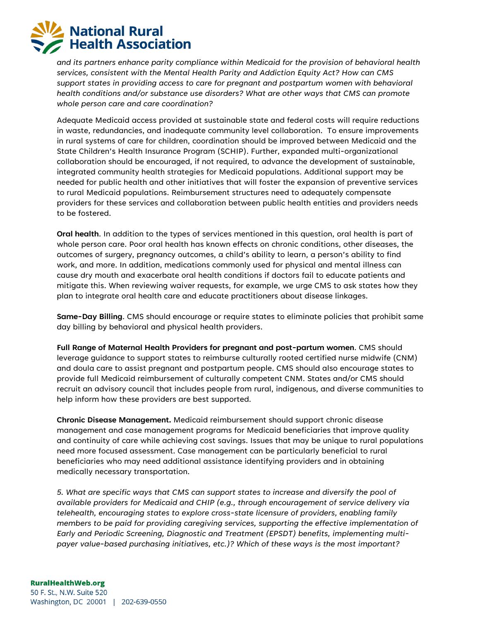*and its partners enhance parity compliance within Medicaid for the provision of behavioral health services, consistent with the Mental Health Parity and Addiction Equity Act? How can CMS support states in providing access to care for pregnant and postpartum women with behavioral health conditions and/or substance use disorders? What are other ways that CMS can promote whole person care and care coordination?* 

Adequate Medicaid access provided at sustainable state and federal costs will require reductions in waste, redundancies, and inadequate community level collaboration. To ensure improvements in rural systems of care for children, coordination should be improved between Medicaid and the State Children's Health Insurance Program (SCHIP). Further, expanded multi-organizational collaboration should be encouraged, if not required, to advance the development of sustainable, integrated community health strategies for Medicaid populations. Additional support may be needed for public health and other initiatives that will foster the expansion of preventive services to rural Medicaid populations. Reimbursement structures need to adequately compensate providers for these services and collaboration between public health entities and providers needs to be fostered.

**Oral health**. In addition to the types of services mentioned in this question, oral health is part of whole person care. Poor oral health has known effects on chronic conditions, other diseases, the outcomes of surgery, pregnancy outcomes, a child's ability to learn, a person's ability to find work, and more. In addition, medications commonly used for physical and mental illness can cause dry mouth and exacerbate oral health conditions if doctors fail to educate patients and mitigate this. When reviewing waiver requests, for example, we urge CMS to ask states how they plan to integrate oral health care and educate practitioners about disease linkages.

**Same-Day Billing**. CMS should encourage or require states to eliminate policies that prohibit same day billing by behavioral and physical health providers.

**Full Range of Maternal Health Providers for pregnant and post-partum women**. CMS should leverage guidance to support states to reimburse culturally rooted certified nurse midwife (CNM) and doula care to assist pregnant and postpartum people. CMS should also encourage states to provide full Medicaid reimbursement of culturally competent CNM. States and/or CMS should recruit an advisory council that includes people from rural, indigenous, and diverse communities to help inform how these providers are best supported.

**Chronic Disease Management.** Medicaid reimbursement should support chronic disease management and case management programs for Medicaid beneficiaries that improve quality and continuity of care while achieving cost savings. Issues that may be unique to rural populations need more focused assessment. Case management can be particularly beneficial to rural beneficiaries who may need additional assistance identifying providers and in obtaining medically necessary transportation.

*5. What are specific ways that CMS can support states to increase and diversify the pool of available providers for Medicaid and CHIP (e.g., through encouragement of service delivery via telehealth, encouraging states to explore cross-state licensure of providers, enabling family members to be paid for providing caregiving services, supporting the effective implementation of Early and Periodic Screening, Diagnostic and Treatment (EPSDT) benefits, implementing multipayer value-based purchasing initiatives, etc.)? Which of these ways is the most important?* 

Washington, DC 20001 | 202-639-0550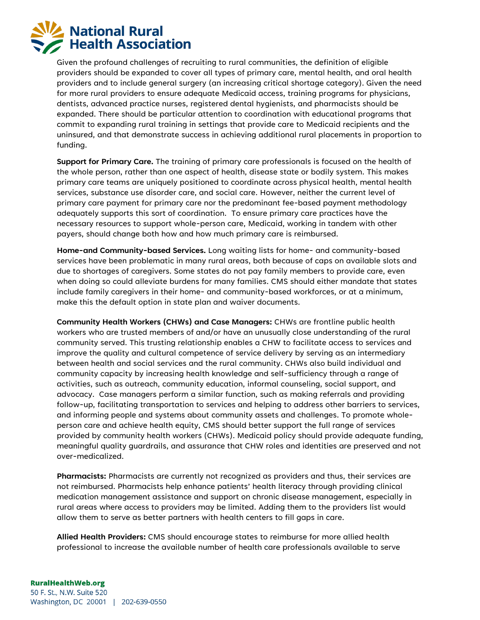

Given the profound challenges of recruiting to rural communities, the definition of eligible providers should be expanded to cover all types of primary care, mental health, and oral health providers and to include general surgery (an increasing critical shortage category). Given the need for more rural providers to ensure adequate Medicaid access, training programs for physicians, dentists, advanced practice nurses, registered dental hygienists, and pharmacists should be expanded. There should be particular attention to coordination with educational programs that commit to expanding rural training in settings that provide care to Medicaid recipients and the uninsured, and that demonstrate success in achieving additional rural placements in proportion to funding.

**Support for Primary Care.** The training of primary care professionals is focused on the health of the whole person, rather than one aspect of health, disease state or bodily system. This makes primary care teams are uniquely positioned to coordinate across physical health, mental health services, substance use disorder care, and social care. However, neither the current level of primary care payment for primary care nor the predominant fee-based payment methodology adequately supports this sort of coordination. To ensure primary care practices have the necessary resources to support whole-person care, Medicaid, working in tandem with other payers, should change both how and how much primary care is reimbursed.

**Home-and Community-based Services.** Long waiting lists for home- and community-based services have been problematic in many rural areas, both because of caps on available slots and due to shortages of caregivers. Some states do not pay family members to provide care, even when doing so could alleviate burdens for many families. CMS should either mandate that states include family caregivers in their home- and community-based workforces, or at a minimum, make this the default option in state plan and waiver documents.

**Community Health Workers (CHWs) and Case Managers:** CHWs are frontline public health workers who are trusted members of and/or have an unusually close understanding of the rural community served. This trusting relationship enables a CHW to facilitate access to services and improve the quality and cultural competence of service delivery by serving as an intermediary between health and social services and the rural community. CHWs also build individual and community capacity by increasing health knowledge and self-sufficiency through a range of activities, such as outreach, community education, informal counseling, social support, and advocacy. Case managers perform a similar function, such as making referrals and providing follow-up, facilitating transportation to services and helping to address other barriers to services, and informing people and systems about community assets and challenges. To promote wholeperson care and achieve health equity, CMS should better support the full range of services provided by community health workers (CHWs). Medicaid policy should provide adequate funding, meaningful quality guardrails, and assurance that CHW roles and identities are preserved and not over-medicalized.

**Pharmacists:** Pharmacists are currently not recognized as providers and thus, their services are not reimbursed. Pharmacists help enhance patients' health literacy through providing clinical medication management assistance and support on chronic disease management, especially in rural areas where access to providers may be limited. Adding them to the providers list would allow them to serve as better partners with health centers to fill gaps in care.

**Allied Health Providers:** CMS should encourage states to reimburse for more allied health professional to increase the available number of health care professionals available to serve

### **RuralHealthWeb.org** 50 F. St., N.W. Suite 520 Washington, DC 20001 | 202-639-0550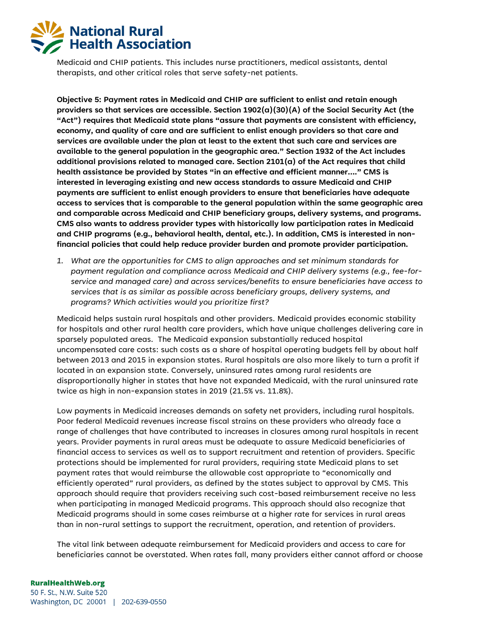

Medicaid and CHIP patients. This includes nurse practitioners, medical assistants, dental therapists, and other critical roles that serve safety-net patients.

**Objective 5: Payment rates in Medicaid and CHIP are sufficient to enlist and retain enough providers so that services are accessible. Section 1902(a)(30)(A) of the Social Security Act (the "Act") requires that Medicaid state plans "assure that payments are consistent with efficiency, economy, and quality of care and are sufficient to enlist enough providers so that care and services are available under the plan at least to the extent that such care and services are available to the general population in the geographic area." Section 1932 of the Act includes additional provisions related to managed care. Section 2101(a) of the Act requires that child health assistance be provided by States "in an effective and efficient manner…." CMS is interested in leveraging existing and new access standards to assure Medicaid and CHIP payments are sufficient to enlist enough providers to ensure that beneficiaries have adequate access to services that is comparable to the general population within the same geographic area and comparable across Medicaid and CHIP beneficiary groups, delivery systems, and programs. CMS also wants to address provider types with historically low participation rates in Medicaid and CHIP programs (e.g., behavioral health, dental, etc.). In addition, CMS is interested in nonfinancial policies that could help reduce provider burden and promote provider participation.** 

*1. What are the opportunities for CMS to align approaches and set minimum standards for payment regulation and compliance across Medicaid and CHIP delivery systems (e.g., fee-forservice and managed care) and across services/benefits to ensure beneficiaries have access to services that is as similar as possible across beneficiary groups, delivery systems, and programs? Which activities would you prioritize first?* 

Medicaid helps sustain rural hospitals and other providers. Medicaid provides economic stability for hospitals and other rural health care providers, which have unique challenges delivering care in sparsely populated areas. The Medicaid expansion substantially reduced hospital uncompensated care costs: such costs as a share of hospital operating budgets fell by about half between 2013 and 2015 in expansion states. Rural hospitals are also more likely to turn a profit if located in an expansion state. Conversely, uninsured rates among rural residents are disproportionally higher in states that have not expanded Medicaid, with the rural uninsured rate twice as high in non-expansion states in 2019 (21.5% vs. 11.8%).

Low payments in Medicaid increases demands on safety net providers, including rural hospitals. Poor federal Medicaid revenues increase fiscal strains on these providers who already face a range of challenges that have contributed to increases in closures among rural hospitals in recent years. Provider payments in rural areas must be adequate to assure Medicaid beneficiaries of financial access to services as well as to support recruitment and retention of providers. Specific protections should be implemented for rural providers, requiring state Medicaid plans to set payment rates that would reimburse the allowable cost appropriate to "economically and efficiently operated" rural providers, as defined by the states subject to approval by CMS. This approach should require that providers receiving such cost-based reimbursement receive no less when participating in managed Medicaid programs. This approach should also recognize that Medicaid programs should in some cases reimburse at a higher rate for services in rural areas than in non-rural settings to support the recruitment, operation, and retention of providers.

The vital link between adequate reimbursement for Medicaid providers and access to care for beneficiaries cannot be overstated. When rates fall, many providers either cannot afford or choose

#### **RuralHealthWeb.org**